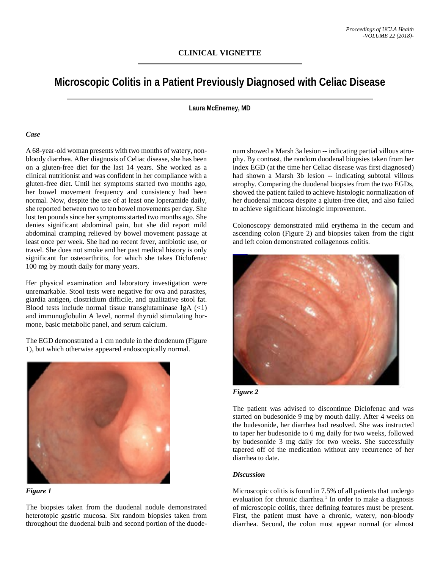# **Microscopic Colitis in a Patient Previously Diagnosed with Celiac Disease**

**Laura McEnerney, MD**

## *Case*

A 68-year-old woman presents with two months of watery, nonbloody diarrhea. After diagnosis of Celiac disease, she has been on a gluten-free diet for the last 14 years. She worked as a clinical nutritionist and was confident in her compliance with a gluten-free diet. Until her symptoms started two months ago, her bowel movement frequency and consistency had been normal. Now, despite the use of at least one loperamide daily, she reported between two to ten bowel movements per day. She lost ten pounds since her symptoms started two months ago. She denies significant abdominal pain, but she did report mild abdominal cramping relieved by bowel movement passage at least once per week. She had no recent fever, antibiotic use, or travel. She does not smoke and her past medical history is only significant for osteoarthritis, for which she takes Diclofenac 100 mg by mouth daily for many years.

Her physical examination and laboratory investigation were unremarkable. Stool tests were negative for ova and parasites, giardia antigen, clostridium difficile, and qualitative stool fat. Blood tests include normal tissue transglutaminase IgA (<1) and immunoglobulin A level, normal thyroid stimulating hormone, basic metabolic panel, and serum calcium.

The EGD demonstrated a 1 cm nodule in the duodenum (Figure 1), but which otherwise appeared endoscopically normal.





The biopsies taken from the duodenal nodule demonstrated heterotopic gastric mucosa. Six random biopsies taken from throughout the duodenal bulb and second portion of the duode-

num showed a Marsh 3a lesion -- indicating partial villous atrophy. By contrast, the random duodenal biopsies taken from her index EGD (at the time her Celiac disease was first diagnosed) had shown a Marsh 3b lesion -- indicating subtotal villous atrophy. Comparing the duodenal biopsies from the two EGDs, showed the patient failed to achieve histologic normalization of her duodenal mucosa despite a gluten-free diet, and also failed to achieve significant histologic improvement.

Colonoscopy demonstrated mild erythema in the cecum and ascending colon (Figure 2) and biopsies taken from the right and left colon demonstrated collagenous colitis.





The patient was advised to discontinue Diclofenac and was started on budesonide 9 mg by mouth daily. After 4 weeks on the budesonide, her diarrhea had resolved. She was instructed to taper her budesonide to 6 mg daily for two weeks, followed by budesonide 3 mg daily for two weeks. She successfully tapered off of the medication without any recurrence of her diarrhea to date.

## *Discussion*

Microscopic colitis is found in 7.5% of all patients that undergo evaluation for chronic diarrhea. <sup>1</sup> In order to make a diagnosis of microscopic colitis, three defining features must be present. First, the patient must have a chronic, watery, non-bloody diarrhea. Second, the colon must appear normal (or almost